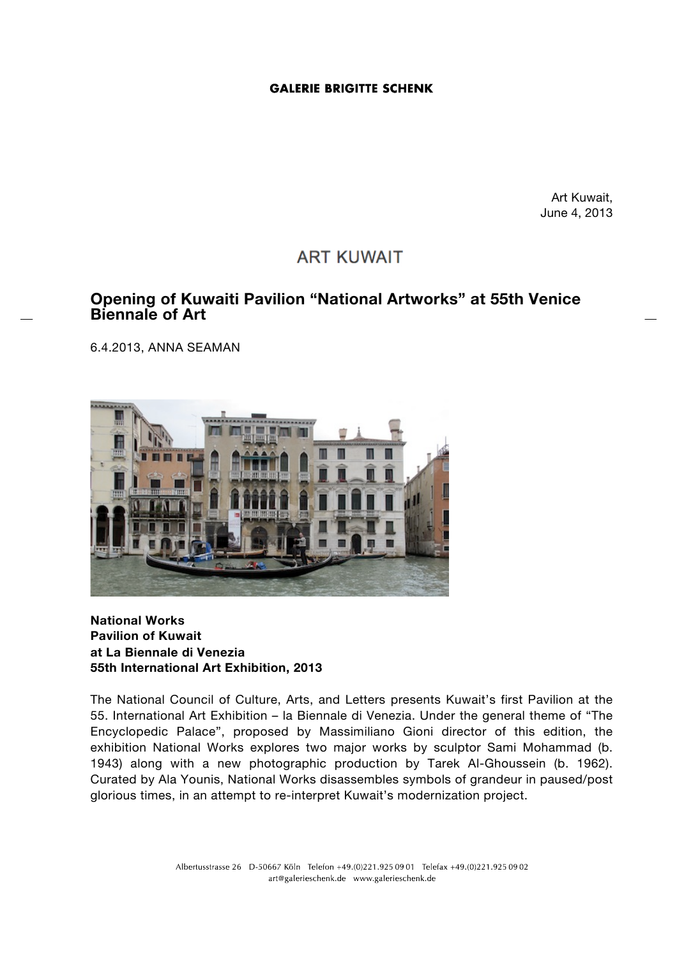Art Kuwait, June 4, 2013

# **ART KUWAIT**

# **Opening of Kuwaiti Pavilion "National Artworks" at 55th Venice Biennale of Art**

6.4.2013, ANNA SEAMAN



## **National Works Pavilion of Kuwait at La Biennale di Venezia 55th International Art Exhibition, 2013**

The National Council of Culture, Arts, and Letters presents Kuwait's first Pavilion at the 55. International Art Exhibition – la Biennale di Venezia. Under the general theme of "The Encyclopedic Palace", proposed by Massimiliano Gioni director of this edition, the exhibition National Works explores two major works by sculptor Sami Mohammad (b. 1943) along with a new photographic production by Tarek Al-Ghoussein (b. 1962). Curated by Ala Younis, National Works disassembles symbols of grandeur in paused/post glorious times, in an attempt to re-interpret Kuwait's modernization project.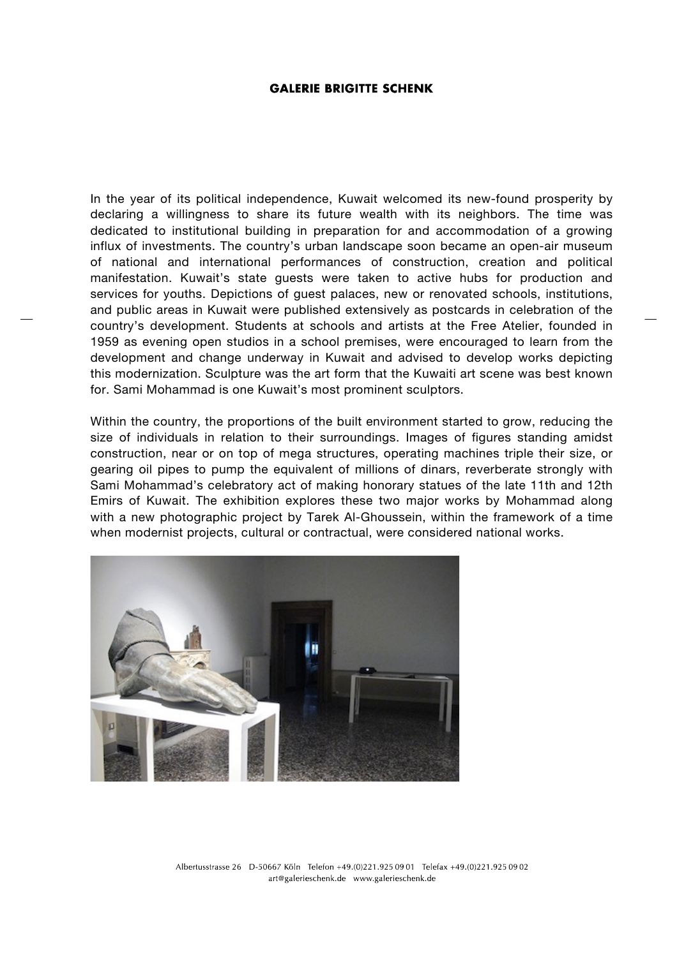In the year of its political independence, Kuwait welcomed its new-found prosperity by declaring a willingness to share its future wealth with its neighbors. The time was dedicated to institutional building in preparation for and accommodation of a growing influx of investments. The country's urban landscape soon became an open-air museum of national and international performances of construction, creation and political manifestation. Kuwait's state guests were taken to active hubs for production and services for youths. Depictions of guest palaces, new or renovated schools, institutions, and public areas in Kuwait were published extensively as postcards in celebration of the country's development. Students at schools and artists at the Free Atelier, founded in 1959 as evening open studios in a school premises, were encouraged to learn from the development and change underway in Kuwait and advised to develop works depicting this modernization. Sculpture was the art form that the Kuwaiti art scene was best known for. Sami Mohammad is one Kuwait's most prominent sculptors.

Within the country, the proportions of the built environment started to grow, reducing the size of individuals in relation to their surroundings. Images of figures standing amidst construction, near or on top of mega structures, operating machines triple their size, or gearing oil pipes to pump the equivalent of millions of dinars, reverberate strongly with Sami Mohammad's celebratory act of making honorary statues of the late 11th and 12th Emirs of Kuwait. The exhibition explores these two major works by Mohammad along with a new photographic project by Tarek Al-Ghoussein, within the framework of a time when modernist projects, cultural or contractual, were considered national works.

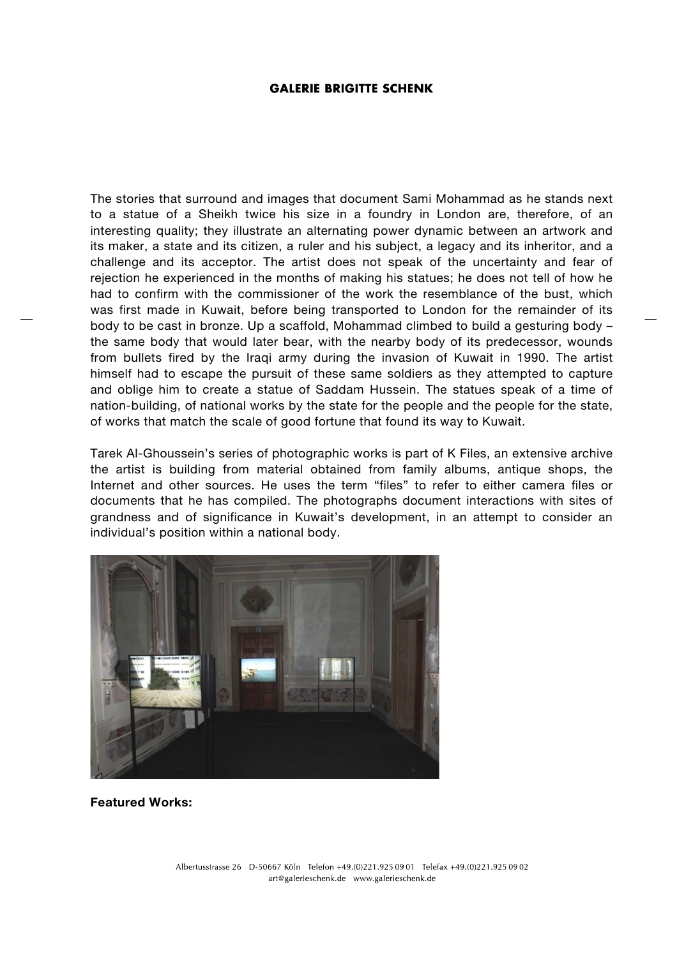The stories that surround and images that document Sami Mohammad as he stands next to a statue of a Sheikh twice his size in a foundry in London are, therefore, of an interesting quality; they illustrate an alternating power dynamic between an artwork and its maker, a state and its citizen, a ruler and his subject, a legacy and its inheritor, and a challenge and its acceptor. The artist does not speak of the uncertainty and fear of rejection he experienced in the months of making his statues; he does not tell of how he had to confirm with the commissioner of the work the resemblance of the bust, which was first made in Kuwait, before being transported to London for the remainder of its body to be cast in bronze. Up a scaffold, Mohammad climbed to build a gesturing body – the same body that would later bear, with the nearby body of its predecessor, wounds from bullets fired by the Iraqi army during the invasion of Kuwait in 1990. The artist himself had to escape the pursuit of these same soldiers as they attempted to capture and oblige him to create a statue of Saddam Hussein. The statues speak of a time of nation-building, of national works by the state for the people and the people for the state, of works that match the scale of good fortune that found its way to Kuwait.

Tarek Al-Ghoussein's series of photographic works is part of K Files, an extensive archive the artist is building from material obtained from family albums, antique shops, the Internet and other sources. He uses the term "files" to refer to either camera files or documents that he has compiled. The photographs document interactions with sites of grandness and of significance in Kuwait's development, in an attempt to consider an individual's position within a national body.



**Featured Works:**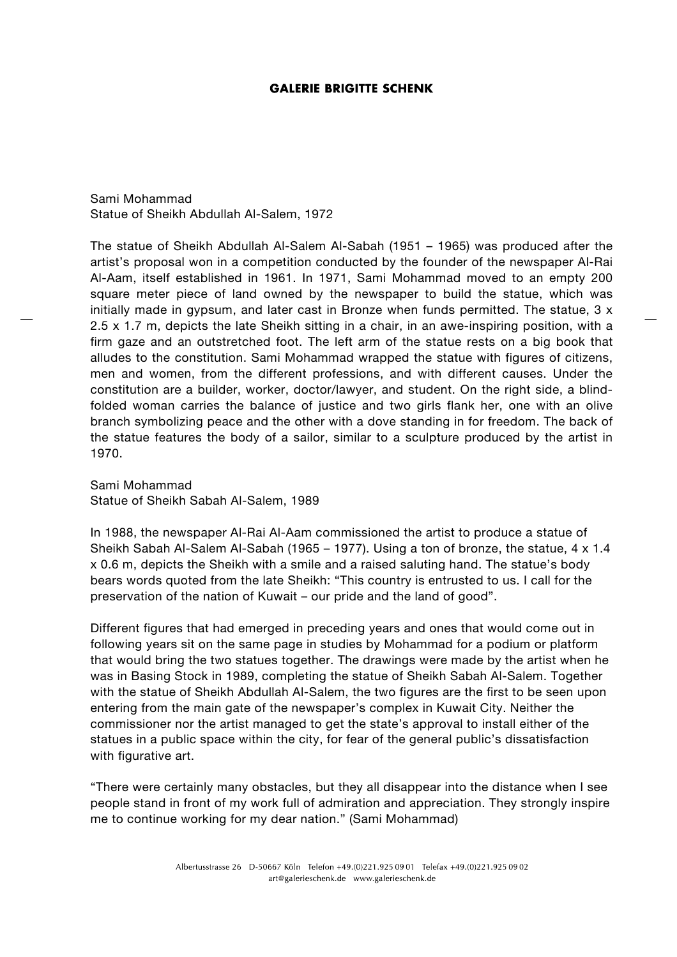Sami Mohammad Statue of Sheikh Abdullah Al-Salem, 1972

The statue of Sheikh Abdullah Al-Salem Al-Sabah (1951 – 1965) was produced after the artist's proposal won in a competition conducted by the founder of the newspaper Al-Rai Al-Aam, itself established in 1961. In 1971, Sami Mohammad moved to an empty 200 square meter piece of land owned by the newspaper to build the statue, which was initially made in gypsum, and later cast in Bronze when funds permitted. The statue, 3 x 2.5 x 1.7 m, depicts the late Sheikh sitting in a chair, in an awe-inspiring position, with a firm gaze and an outstretched foot. The left arm of the statue rests on a big book that alludes to the constitution. Sami Mohammad wrapped the statue with figures of citizens, men and women, from the different professions, and with different causes. Under the constitution are a builder, worker, doctor/lawyer, and student. On the right side, a blindfolded woman carries the balance of justice and two girls flank her, one with an olive branch symbolizing peace and the other with a dove standing in for freedom. The back of the statue features the body of a sailor, similar to a sculpture produced by the artist in 1970.

Sami Mohammad Statue of Sheikh Sabah Al-Salem, 1989

In 1988, the newspaper Al-Rai Al-Aam commissioned the artist to produce a statue of Sheikh Sabah Al-Salem Al-Sabah (1965 – 1977). Using a ton of bronze, the statue, 4 x 1.4 x 0.6 m, depicts the Sheikh with a smile and a raised saluting hand. The statue's body bears words quoted from the late Sheikh: "This country is entrusted to us. I call for the preservation of the nation of Kuwait – our pride and the land of good".

Different figures that had emerged in preceding years and ones that would come out in following years sit on the same page in studies by Mohammad for a podium or platform that would bring the two statues together. The drawings were made by the artist when he was in Basing Stock in 1989, completing the statue of Sheikh Sabah Al-Salem. Together with the statue of Sheikh Abdullah Al-Salem, the two figures are the first to be seen upon entering from the main gate of the newspaper's complex in Kuwait City. Neither the commissioner nor the artist managed to get the state's approval to install either of the statues in a public space within the city, for fear of the general public's dissatisfaction with figurative art.

"There were certainly many obstacles, but they all disappear into the distance when I see people stand in front of my work full of admiration and appreciation. They strongly inspire me to continue working for my dear nation." (Sami Mohammad)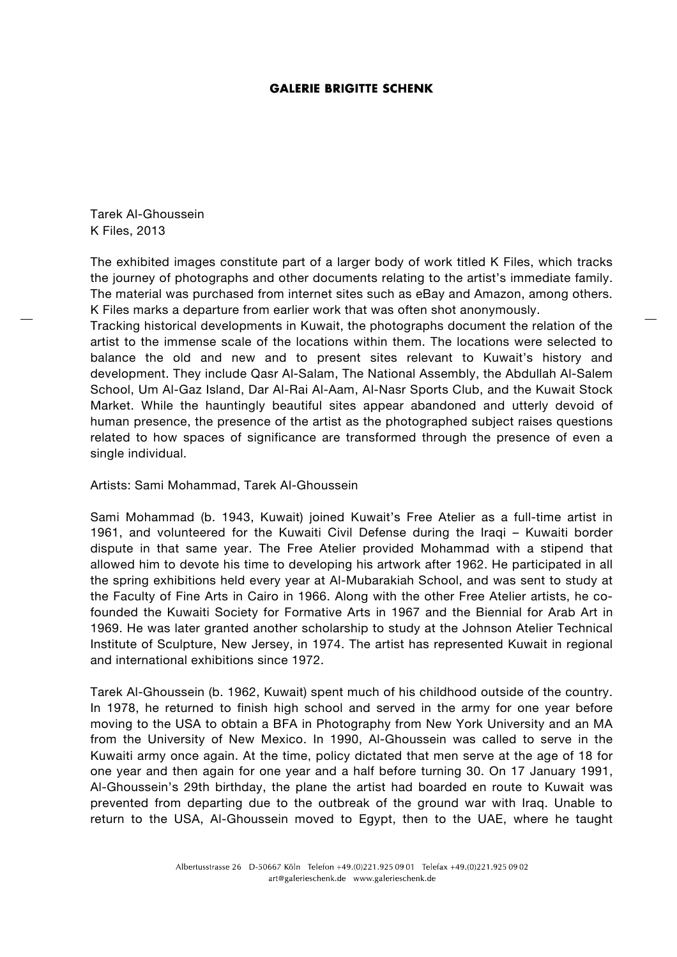Tarek Al-Ghoussein K Files, 2013

The exhibited images constitute part of a larger body of work titled K Files, which tracks the journey of photographs and other documents relating to the artist's immediate family. The material was purchased from internet sites such as eBay and Amazon, among others. K Files marks a departure from earlier work that was often shot anonymously.

Tracking historical developments in Kuwait, the photographs document the relation of the artist to the immense scale of the locations within them. The locations were selected to balance the old and new and to present sites relevant to Kuwait's history and development. They include Qasr Al-Salam, The National Assembly, the Abdullah Al-Salem School, Um Al-Gaz Island, Dar Al-Rai Al-Aam, Al-Nasr Sports Club, and the Kuwait Stock Market. While the hauntingly beautiful sites appear abandoned and utterly devoid of human presence, the presence of the artist as the photographed subject raises questions related to how spaces of significance are transformed through the presence of even a single individual.

Artists: Sami Mohammad, Tarek Al-Ghoussein

Sami Mohammad (b. 1943, Kuwait) joined Kuwait's Free Atelier as a full-time artist in 1961, and volunteered for the Kuwaiti Civil Defense during the Iraqi – Kuwaiti border dispute in that same year. The Free Atelier provided Mohammad with a stipend that allowed him to devote his time to developing his artwork after 1962. He participated in all the spring exhibitions held every year at Al-Mubarakiah School, and was sent to study at the Faculty of Fine Arts in Cairo in 1966. Along with the other Free Atelier artists, he cofounded the Kuwaiti Society for Formative Arts in 1967 and the Biennial for Arab Art in 1969. He was later granted another scholarship to study at the Johnson Atelier Technical Institute of Sculpture, New Jersey, in 1974. The artist has represented Kuwait in regional and international exhibitions since 1972.

Tarek Al-Ghoussein (b. 1962, Kuwait) spent much of his childhood outside of the country. In 1978, he returned to finish high school and served in the army for one year before moving to the USA to obtain a BFA in Photography from New York University and an MA from the University of New Mexico. In 1990, Al-Ghoussein was called to serve in the Kuwaiti army once again. At the time, policy dictated that men serve at the age of 18 for one year and then again for one year and a half before turning 30. On 17 January 1991, Al-Ghoussein's 29th birthday, the plane the artist had boarded en route to Kuwait was prevented from departing due to the outbreak of the ground war with Iraq. Unable to return to the USA, Al-Ghoussein moved to Egypt, then to the UAE, where he taught